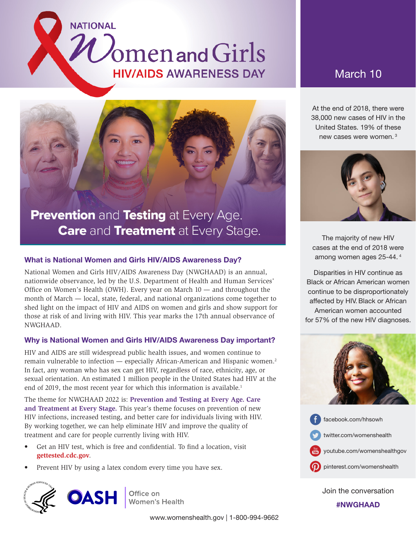# Omenand Girls **HIV/AIDS AWARENESS DAY**



**NATIONAL** 

# Prevention and Testing at Every Age. **Care and Treatment at Every Stage.**

## What is National Women and Girls HIV/AIDS Awareness Day?

National Women and Girls HIV/AIDS Awareness Day (NWGHAAD) is an annual, nationwide observance, led by the U.S. Department of Health and Human Services' Office on Women's Health (OWH). Every year on March 10 — and throughout the month of March — local, state, federal, and national organizations come together to shed light on the impact of HIV and AIDS on women and girls and show support for those at risk of and living with HIV. This year marks the 17th annual observance of NWGHAAD.

### Why is National Women and Girls HIV/AIDS Awareness Day important?

HIV and AIDS are still widespread public health issues, and women continue to remain vulnerable to infection — especially African-American and Hispanic women.2 In fact, any woman who has sex can get HIV, regardless of race, ethnicity, age, or sexual orientation. An estimated 1 million people in the United States had HIV at the end of 2019, the most recent year for which this information is available.<sup>1</sup>

The theme for NWGHAAD 2022 is: **Prevention and Testing at Every Age. Care and Treatment at Every Stage.** This year's theme focuses on prevention of new HIV infections, increased testing, and better care for individuals living with HIV. By working together, we can help eliminate HIV and improve the quality of treatment and care for people currently living with HIV.

- Get an HIV test, which is free and confidential. To find a location, visit **[gettested.cdc.gov](http://gettested.cdc.gov)**.
- Prevent HIV by using a latex condom every time you have sex.



At the end of 2018, there were 38,000 new cases of HIV in the United States. 19% of these new cases were women. <sup>3</sup>



The majority of new HIV cases at the end of 2018 were among women ages 25-44. 4

Disparities in HIV continue as Black or African American women continue to be disproportionately affected by HIV. Black or African American women accounted for 57% of the new HIV diagnoses.





Join the conversation